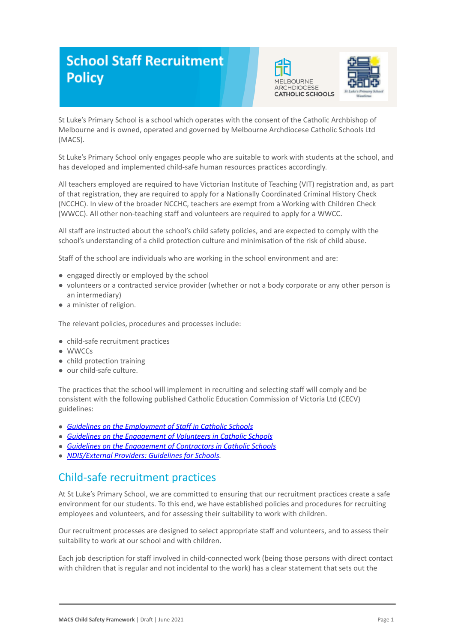# **School Staff Recruitment Policy**





St Luke's Primary School is a school which operates with the consent of the Catholic Archbishop of Melbourne and is owned, operated and governed by Melbourne Archdiocese Catholic Schools Ltd (MACS).

St Luke's Primary School only engages people who are suitable to work with students at the school, and has developed and implemented child-safe human resources practices accordingly.

All teachers employed are required to have Victorian Institute of Teaching (VIT) registration and, as part of that registration, they are required to apply for a Nationally Coordinated Criminal History Check (NCCHC). In view of the broader NCCHC, teachers are exempt from a Working with Children Check (WWCC). All other non-teaching staff and volunteers are required to apply for a WWCC.

All staff are instructed about the school's child safety policies, and are expected to comply with the school's understanding of a child protection culture and minimisation of the risk of child abuse.

Staff of the school are individuals who are working in the school environment and are:

- engaged directly or employed by the school
- volunteers or a contracted service provider (whether or not a body corporate or any other person is an intermediary)
- a minister of religion.

The relevant policies, procedures and processes include:

- child-safe recruitment practices
- WWCCs
- child protection training
- our child-safe culture.

The practices that the school will implement in recruiting and selecting staff will comply and be consistent with the following published Catholic Education Commission of Victoria Ltd (CECV) guidelines:

- *● [Guidelines on the Employment of Staff in Catholic](https://www.cecv.catholic.edu.au/getmedia/0393d7fb-2fb9-4e48-a05e-56b703dd62eb/Employment-Guidelines.aspx) Schools*
- *● [Guidelines on the Engagement of Volunteers in Catholic](https://www.cecv.catholic.edu.au/Media-Files/IR/Policies-Guidelines/Volunteers/Guidelines-on-the-Engagement-of-Volunteers.aspx) Schools*
- *● [Guidelines on the Engagement of Contractors in Catholic](https://www.cecv.catholic.edu.au/Media-Files/IR/Policies-Guidelines/Staff,-Contractors,-Volunteers/Contractor-Guidelines.aspx) Schools*
- *● [NDIS/External Providers: Guidelines for Schools](https://www.cecv.catholic.edu.au/getmedia/cec12bdf-5e03-4d3a-ac47-504fe084f415/NDIS-External-Providers-Guidelines.aspx?ext=.pdf).*

## Child-safe recruitment practices

At St Luke's Primary School, we are committed to ensuring that our recruitment practices create a safe environment for our students. To this end, we have established policies and procedures for recruiting employees and volunteers, and for assessing their suitability to work with children.

Our recruitment processes are designed to select appropriate staff and volunteers, and to assess their suitability to work at our school and with children.

Each job description for staff involved in child-connected work (being those persons with direct contact with children that is regular and not incidental to the work) has a clear statement that sets out the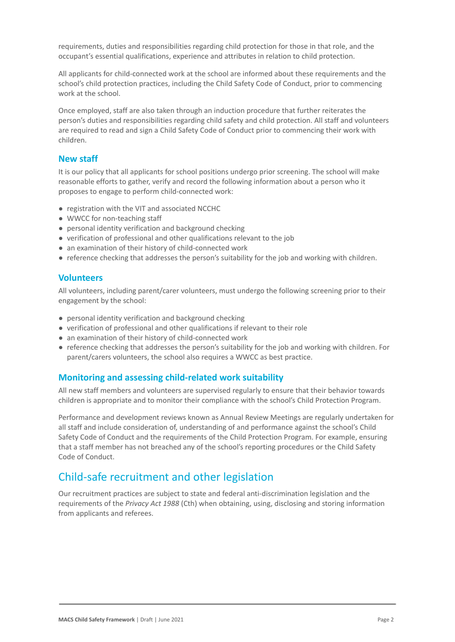requirements, duties and responsibilities regarding child protection for those in that role, and the occupant's essential qualifications, experience and attributes in relation to child protection.

All applicants for child-connected work at the school are informed about these requirements and the school's child protection practices, including the Child Safety Code of Conduct, prior to commencing work at the school.

Once employed, staff are also taken through an induction procedure that further reiterates the person's duties and responsibilities regarding child safety and child protection. All staff and volunteers are required to read and sign a Child Safety Code of Conduct prior to commencing their work with children.

#### **New staff**

It is our policy that all applicants for school positions undergo prior screening. The school will make reasonable efforts to gather, verify and record the following information about a person who it proposes to engage to perform child-connected work:

- registration with the VIT and associated NCCHC
- WWCC for non-teaching staff
- personal identity verification and background checking
- verification of professional and other qualifications relevant to the job
- an examination of their history of child-connected work
- reference checking that addresses the person's suitability for the job and working with children.

#### **Volunteers**

All volunteers, including parent/carer volunteers, must undergo the following screening prior to their engagement by the school:

- personal identity verification and background checking
- verification of professional and other qualifications if relevant to their role
- an examination of their history of child-connected work
- reference checking that addresses the person's suitability for the job and working with children. For parent/carers volunteers, the school also requires a WWCC as best practice.

#### **Monitoring and assessing child-related work suitability**

All new staff members and volunteers are supervised regularly to ensure that their behavior towards children is appropriate and to monitor their compliance with the school's Child Protection Program.

Performance and development reviews known as Annual Review Meetings are regularly undertaken for all staff and include consideration of, understanding of and performance against the school's Child Safety Code of Conduct and the requirements of the Child Protection Program. For example, ensuring that a staff member has not breached any of the school's reporting procedures or the Child Safety Code of Conduct.

## Child-safe recruitment and other legislation

Our recruitment practices are subject to state and federal anti-discrimination legislation and the requirements of the *Privacy Act 1988* (Cth) when obtaining, using, disclosing and storing information from applicants and referees.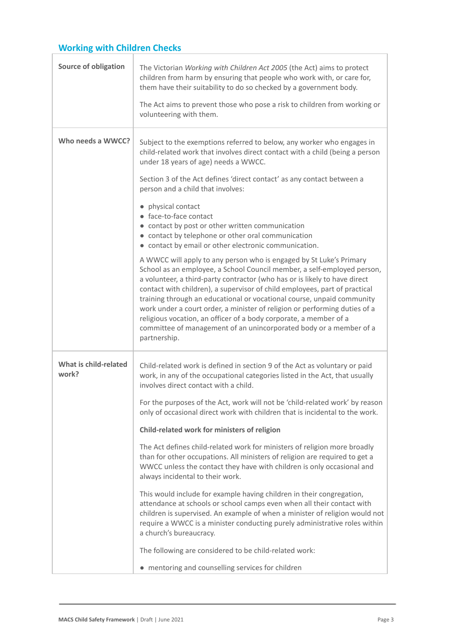## **Working with Children Checks**

| <b>Source of obligation</b>    | The Victorian Working with Children Act 2005 (the Act) aims to protect<br>children from harm by ensuring that people who work with, or care for,<br>them have their suitability to do so checked by a government body.<br>The Act aims to prevent those who pose a risk to children from working or<br>volunteering with them.                                                                                                                                                                                                                                                                                                |
|--------------------------------|-------------------------------------------------------------------------------------------------------------------------------------------------------------------------------------------------------------------------------------------------------------------------------------------------------------------------------------------------------------------------------------------------------------------------------------------------------------------------------------------------------------------------------------------------------------------------------------------------------------------------------|
| Who needs a WWCC?              | Subject to the exemptions referred to below, any worker who engages in<br>child-related work that involves direct contact with a child (being a person<br>under 18 years of age) needs a WWCC.                                                                                                                                                                                                                                                                                                                                                                                                                                |
|                                | Section 3 of the Act defines 'direct contact' as any contact between a<br>person and a child that involves:                                                                                                                                                                                                                                                                                                                                                                                                                                                                                                                   |
|                                | physical contact<br>• face-to-face contact                                                                                                                                                                                                                                                                                                                                                                                                                                                                                                                                                                                    |
|                                | • contact by post or other written communication<br>• contact by telephone or other oral communication<br>• contact by email or other electronic communication.                                                                                                                                                                                                                                                                                                                                                                                                                                                               |
|                                | A WWCC will apply to any person who is engaged by St Luke's Primary<br>School as an employee, a School Council member, a self-employed person,<br>a volunteer, a third-party contractor (who has or is likely to have direct<br>contact with children), a supervisor of child employees, part of practical<br>training through an educational or vocational course, unpaid community<br>work under a court order, a minister of religion or performing duties of a<br>religious vocation, an officer of a body corporate, a member of a<br>committee of management of an unincorporated body or a member of a<br>partnership. |
| What is child-related<br>work? | Child-related work is defined in section 9 of the Act as voluntary or paid<br>work, in any of the occupational categories listed in the Act, that usually<br>involves direct contact with a child.                                                                                                                                                                                                                                                                                                                                                                                                                            |
|                                | For the purposes of the Act, work will not be 'child-related work' by reason<br>only of occasional direct work with children that is incidental to the work.                                                                                                                                                                                                                                                                                                                                                                                                                                                                  |
|                                | Child-related work for ministers of religion                                                                                                                                                                                                                                                                                                                                                                                                                                                                                                                                                                                  |
|                                | The Act defines child-related work for ministers of religion more broadly<br>than for other occupations. All ministers of religion are required to get a<br>WWCC unless the contact they have with children is only occasional and<br>always incidental to their work.                                                                                                                                                                                                                                                                                                                                                        |
|                                | This would include for example having children in their congregation,<br>attendance at schools or school camps even when all their contact with<br>children is supervised. An example of when a minister of religion would not<br>require a WWCC is a minister conducting purely administrative roles within<br>a church's bureaucracy.                                                                                                                                                                                                                                                                                       |
|                                | The following are considered to be child-related work:                                                                                                                                                                                                                                                                                                                                                                                                                                                                                                                                                                        |
|                                | • mentoring and counselling services for children                                                                                                                                                                                                                                                                                                                                                                                                                                                                                                                                                                             |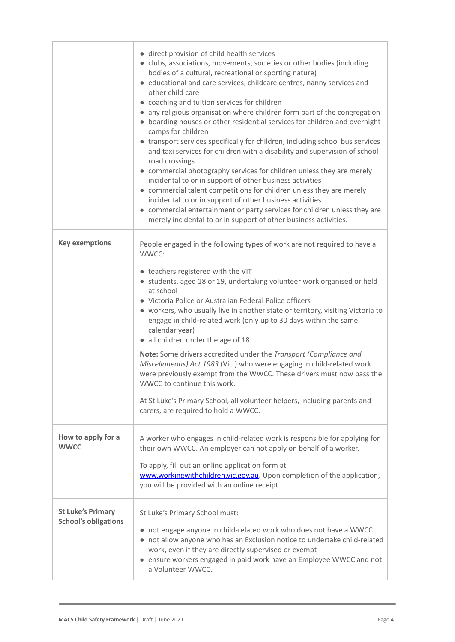|                                                         | • direct provision of child health services<br>• clubs, associations, movements, societies or other bodies (including<br>bodies of a cultural, recreational or sporting nature)<br>• educational and care services, childcare centres, nanny services and<br>other child care<br>• coaching and tuition services for children<br>• any religious organisation where children form part of the congregation<br>• boarding houses or other residential services for children and overnight<br>camps for children<br>• transport services specifically for children, including school bus services<br>and taxi services for children with a disability and supervision of school<br>road crossings<br>• commercial photography services for children unless they are merely<br>incidental to or in support of other business activities<br>• commercial talent competitions for children unless they are merely<br>incidental to or in support of other business activities<br>• commercial entertainment or party services for children unless they are<br>merely incidental to or in support of other business activities. |
|---------------------------------------------------------|---------------------------------------------------------------------------------------------------------------------------------------------------------------------------------------------------------------------------------------------------------------------------------------------------------------------------------------------------------------------------------------------------------------------------------------------------------------------------------------------------------------------------------------------------------------------------------------------------------------------------------------------------------------------------------------------------------------------------------------------------------------------------------------------------------------------------------------------------------------------------------------------------------------------------------------------------------------------------------------------------------------------------------------------------------------------------------------------------------------------------|
| <b>Key exemptions</b>                                   | People engaged in the following types of work are not required to have a<br>WWCC:                                                                                                                                                                                                                                                                                                                                                                                                                                                                                                                                                                                                                                                                                                                                                                                                                                                                                                                                                                                                                                         |
|                                                         | • teachers registered with the VIT<br>• students, aged 18 or 19, undertaking volunteer work organised or held<br>at school<br>• Victoria Police or Australian Federal Police officers<br>• workers, who usually live in another state or territory, visiting Victoria to<br>engage in child-related work (only up to 30 days within the same<br>calendar year)<br>• all children under the age of 18.<br>Note: Some drivers accredited under the Transport (Compliance and<br>Miscellaneous) Act 1983 (Vic.) who were engaging in child-related work<br>were previously exempt from the WWCC. These drivers must now pass the<br>WWCC to continue this work.                                                                                                                                                                                                                                                                                                                                                                                                                                                              |
|                                                         | At St Luke's Primary School, all volunteer helpers, including parents and<br>carers, are required to hold a WWCC.                                                                                                                                                                                                                                                                                                                                                                                                                                                                                                                                                                                                                                                                                                                                                                                                                                                                                                                                                                                                         |
| How to apply for a<br><b>WWCC</b>                       | A worker who engages in child-related work is responsible for applying for<br>their own WWCC. An employer can not apply on behalf of a worker.<br>To apply, fill out an online application form at<br>www.workingwithchildren.vic.gov.au. Upon completion of the application,<br>you will be provided with an online receipt.                                                                                                                                                                                                                                                                                                                                                                                                                                                                                                                                                                                                                                                                                                                                                                                             |
| <b>St Luke's Primary</b><br><b>School's obligations</b> | St Luke's Primary School must:<br>• not engage anyone in child-related work who does not have a WWCC<br>• not allow anyone who has an Exclusion notice to undertake child-related<br>work, even if they are directly supervised or exempt<br>• ensure workers engaged in paid work have an Employee WWCC and not<br>a Volunteer WWCC.                                                                                                                                                                                                                                                                                                                                                                                                                                                                                                                                                                                                                                                                                                                                                                                     |